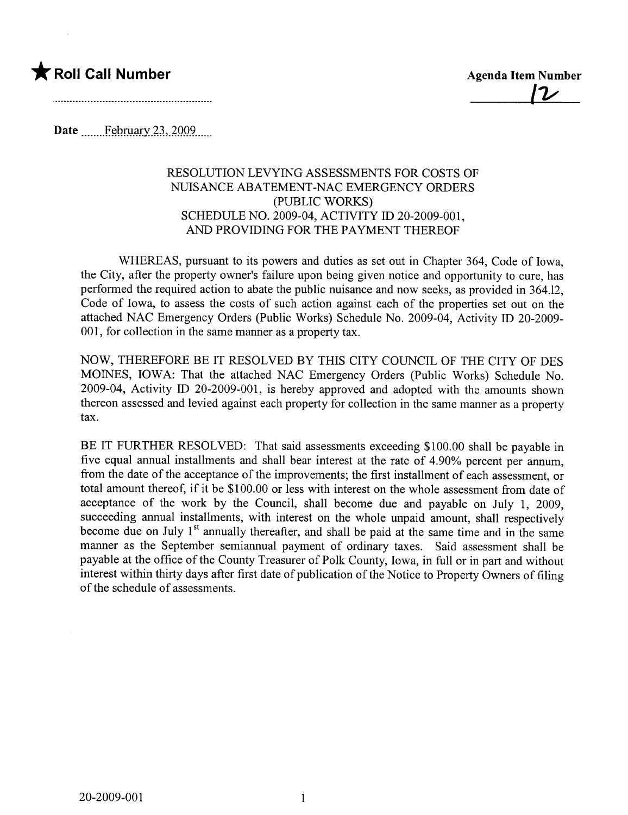

Date  $\frac{\text{February }23,2009}{\text{February }23,2009}$ 

## RESOLUTION LEVYING ASSESSMENTS FOR COSTS OF NUISANCE ABATEMENT-NAC EMERGENCY ORDERS (PUBLIC WORKS) SCHEDULE NO. 2009-04, ACTIVITY ID 20-2009-001, AND PROVIDING FOR THE PAYMENT THEREOF

WHEREAS, pursuant to its powers and duties as set out in Chapter 364, Code of Iowa, the City, after the property owner's failure upon being given notice and opportunity to cure, has performed the required action to abate the public nuisance and now seeks, as provided in 364.12, Code of Iowa, to assess the costs of such action against each of the properties set out on the attached NAC Emergency Orders (Public Works) Schedule No. 2009-04, Activity ID 20-2009- 001, for collection in the same manner as a property tax.

NOW, THEREFORE BE IT RESOLVED BY THIS CITY COUNCIL OF THE CITY OF DES MOINS, IOWA: That the attached NAC Emergency Orders (Public Works) Schedule No. 2009-04, Activity ID 20-2009-001, is hereby approved and adopted with the amounts shown thereon assessed and levied against each property for collection in the same manner as a property tax.

BE IT FURTHER RESOLVED: That said assessments exceeding \$100.00 shall be payable in five equal annual installments and shall bear interest at the rate of 4.90% percent per annum, from the date of the acceptance of the improvements; the first installment of each assessment, or total amount thereof, if it be \$100.00 or less with interest on the whole assessment from date of acceptance of the work by the Council, shall become due and payable on July 1, 2009, succeeding anual installments, with interest on the whole unpaid amount, shall respectively become due on July  $1<sup>st</sup>$  annually thereafter, and shall be paid at the same time and in the same maner as the September semiannual payment of ordinary taxes. Said assessment shall be payable at the office of the County Treasurer of Polk County, Iowa, in full or in part and without interest within thirty days after first date of publication of the Notice to Property Owners of filing of the schedule of assessments.